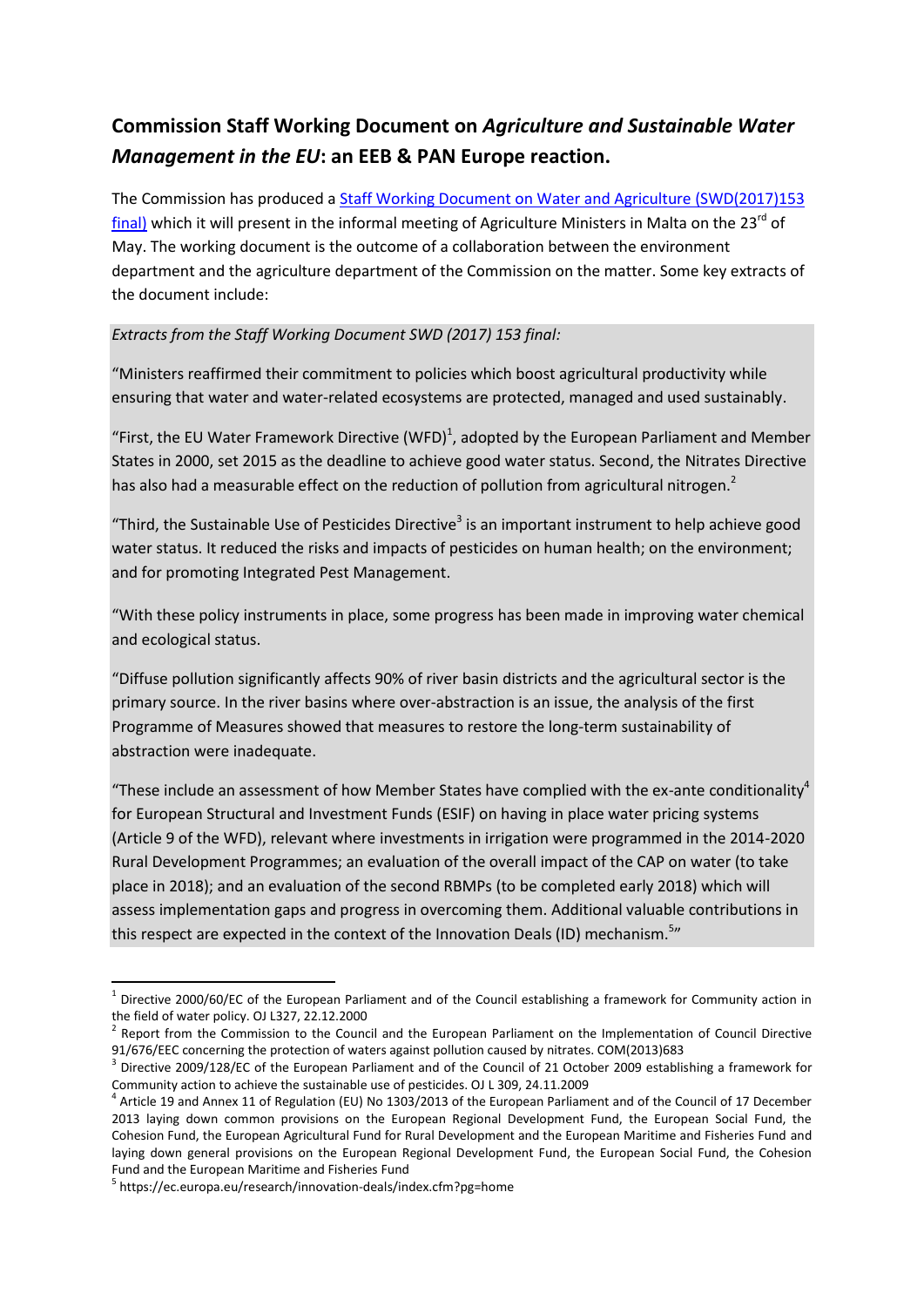# **Commission Staff Working Document on** *Agriculture and Sustainable Water Management in the EU***: an EEB & PAN Europe reaction.**

The Commission has produced a [Staff Working Document on Water and Agriculture](https://circabc.europa.eu/sd/a/abff972e-203a-4b4e-b42e-a0f291d3fdf9/SWD_2017_EN_V4_P1_885057.pdf) (SWD(2017)153 [final\)](https://circabc.europa.eu/sd/a/abff972e-203a-4b4e-b42e-a0f291d3fdf9/SWD_2017_EN_V4_P1_885057.pdf) which it will present in the informal meeting of Agriculture Ministers in Malta on the 23<sup>rd</sup> of May. The working document is the outcome of a collaboration between the environment department and the agriculture department of the Commission on the matter. Some key extracts of the document include:

## *Extracts from the Staff Working Document SWD (2017) 153 final:*

"Ministers reaffirmed their commitment to policies which boost agricultural productivity while ensuring that water and water-related ecosystems are protected, managed and used sustainably.

"First, the EU Water Framework Directive (WFD)<sup>1</sup>, adopted by the European Parliament and Member States in 2000, set 2015 as the deadline to achieve good water status. Second, the Nitrates Directive has also had a measurable effect on the reduction of pollution from agricultural nitrogen.<sup>2</sup>

"Third, the Sustainable Use of Pesticides Directive<sup>3</sup> is an important instrument to help achieve good water status. It reduced the risks and impacts of pesticides on human health; on the environment; and for promoting Integrated Pest Management.

"With these policy instruments in place, some progress has been made in improving water chemical and ecological status.

"Diffuse pollution significantly affects 90% of river basin districts and the agricultural sector is the primary source. In the river basins where over-abstraction is an issue, the analysis of the first Programme of Measures showed that measures to restore the long-term sustainability of abstraction were inadequate.

"These include an assessment of how Member States have complied with the ex-ante conditionality<sup>4</sup> for European Structural and Investment Funds (ESIF) on having in place water pricing systems (Article 9 of the WFD), relevant where investments in irrigation were programmed in the 2014-2020 Rural Development Programmes; an evaluation of the overall impact of the CAP on water (to take place in 2018); and an evaluation of the second RBMPs (to be completed early 2018) which will assess implementation gaps and progress in overcoming them. Additional valuable contributions in this respect are expected in the context of the Innovation Deals (ID) mechanism.<sup>5</sup>"

 1 Directive 2000/60/EC of the European Parliament and of the Council establishing a framework for Community action in the field of water policy. OJ L327, 22.12.2000

<sup>&</sup>lt;sup>2</sup> Report from the Commission to the Council and the European Parliament on the Implementation of Council Directive 91/676/EEC concerning the protection of waters against pollution caused by nitrates. COM(2013)683

 $3$  Directive 2009/128/EC of the European Parliament and of the Council of 21 October 2009 establishing a framework for Community action to achieve the sustainable use of pesticides. OJ L 309, 24.11.2009

 $^4$  Article 19 and Annex 11 of Regulation (EU) No 1303/2013 of the European Parliament and of the Council of 17 December 2013 laying down common provisions on the European Regional Development Fund, the European Social Fund, the Cohesion Fund, the European Agricultural Fund for Rural Development and the European Maritime and Fisheries Fund and laying down general provisions on the European Regional Development Fund, the European Social Fund, the Cohesion Fund and the European Maritime and Fisheries Fund

<sup>5</sup> https://ec.europa.eu/research/innovation-deals/index.cfm?pg=home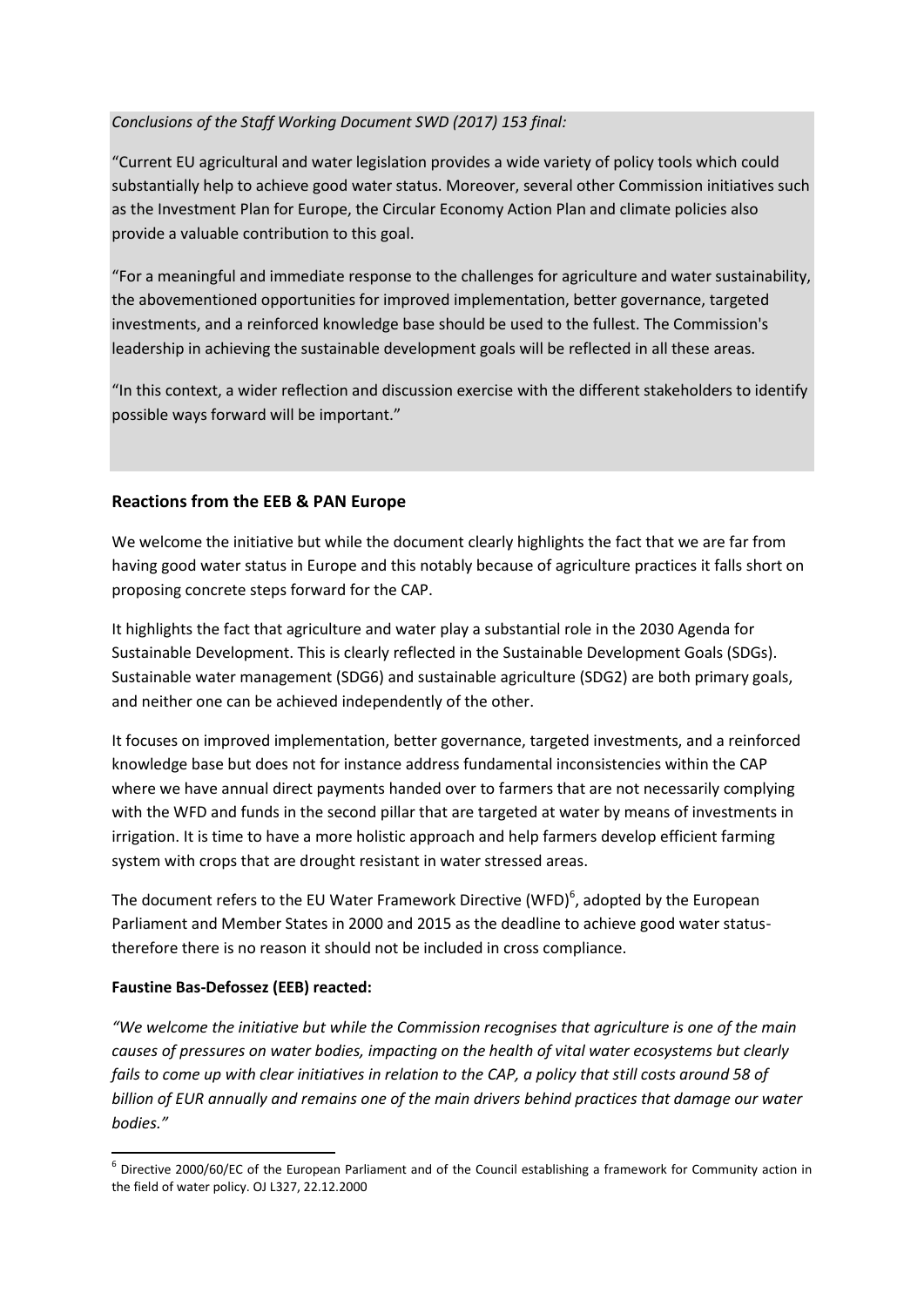## *Conclusions of the Staff Working Document SWD (2017) 153 final:*

"Current EU agricultural and water legislation provides a wide variety of policy tools which could substantially help to achieve good water status. Moreover, several other Commission initiatives such as the Investment Plan for Europe, the Circular Economy Action Plan and climate policies also provide a valuable contribution to this goal.

"For a meaningful and immediate response to the challenges for agriculture and water sustainability, the abovementioned opportunities for improved implementation, better governance, targeted investments, and a reinforced knowledge base should be used to the fullest. The Commission's leadership in achieving the sustainable development goals will be reflected in all these areas.

"In this context, a wider reflection and discussion exercise with the different stakeholders to identify possible ways forward will be important."

### **Reactions from the EEB & PAN Europe**

We welcome the initiative but while the document clearly highlights the fact that we are far from having good water status in Europe and this notably because of agriculture practices it falls short on proposing concrete steps forward for the CAP.

It highlights the fact that agriculture and water play a substantial role in the 2030 Agenda for Sustainable Development. This is clearly reflected in the Sustainable Development Goals (SDGs). Sustainable water management (SDG6) and sustainable agriculture (SDG2) are both primary goals, and neither one can be achieved independently of the other.

It focuses on improved implementation, better governance, targeted investments, and a reinforced knowledge base but does not for instance address fundamental inconsistencies within the CAP where we have annual direct payments handed over to farmers that are not necessarily complying with the WFD and funds in the second pillar that are targeted at water by means of investments in irrigation. It is time to have a more holistic approach and help farmers develop efficient farming system with crops that are drought resistant in water stressed areas.

The document refers to the EU Water Framework Directive (WFD)<sup>6</sup>, adopted by the European Parliament and Member States in 2000 and 2015 as the deadline to achieve good water statustherefore there is no reason it should not be included in cross compliance.

#### **Faustine Bas-Defossez (EEB) reacted:**

**.** 

*"We welcome the initiative but while the Commission recognises that agriculture is one of the main causes of pressures on water bodies, impacting on the health of vital water ecosystems but clearly fails to come up with clear initiatives in relation to the CAP, a policy that still costs around 58 of billion of EUR annually and remains one of the main drivers behind practices that damage our water bodies."*

 $^6$  Directive 2000/60/EC of the European Parliament and of the Council establishing a framework for Community action in the field of water policy. OJ L327, 22.12.2000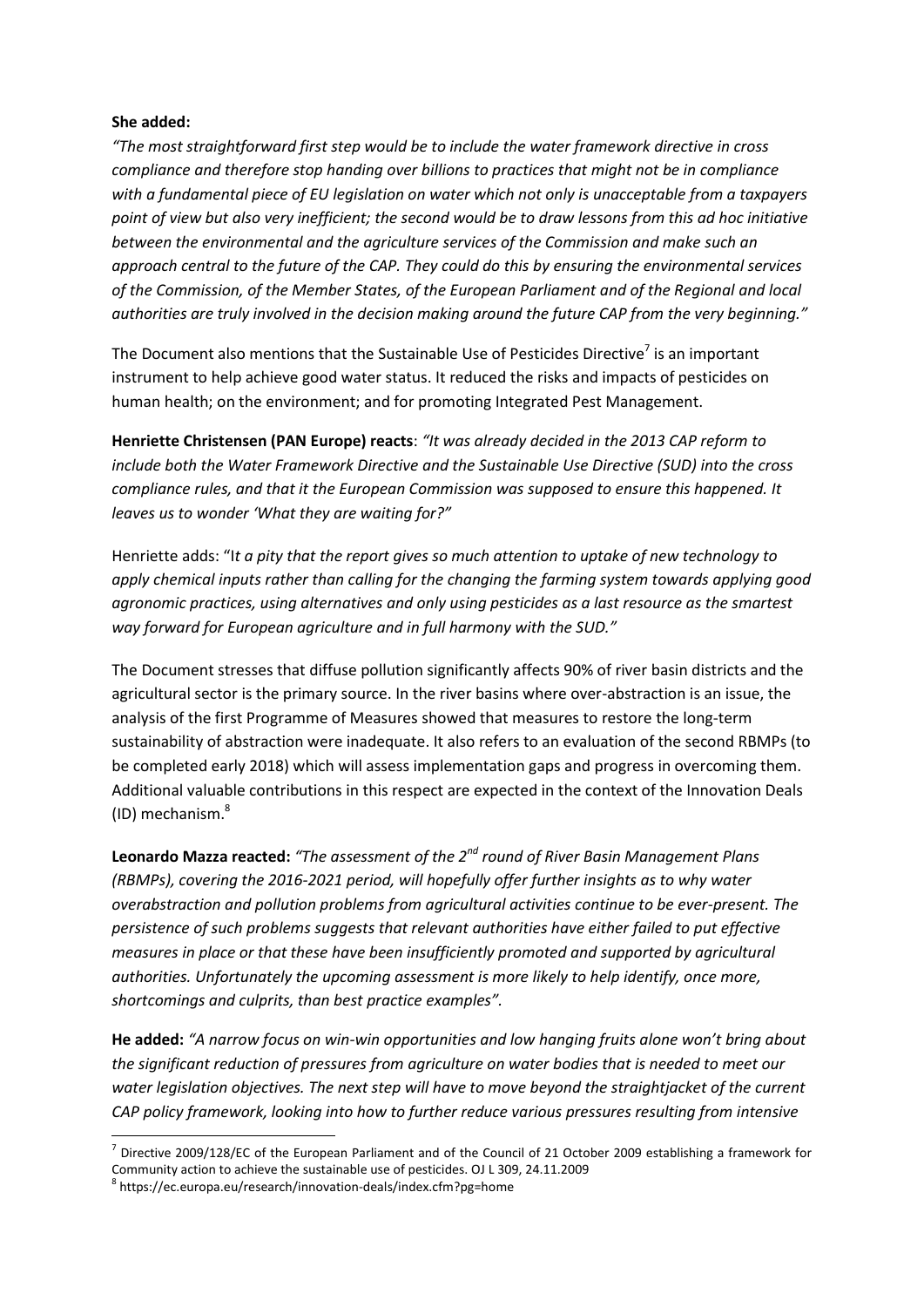#### **She added:**

*"The most straightforward first step would be to include the water framework directive in cross compliance and therefore stop handing over billions to practices that might not be in compliance with a fundamental piece of EU legislation on water which not only is unacceptable from a taxpayers point of view but also very inefficient; the second would be to draw lessons from this ad hoc initiative between the environmental and the agriculture services of the Commission and make such an approach central to the future of the CAP. They could do this by ensuring the environmental services of the Commission, of the Member States, of the European Parliament and of the Regional and local authorities are truly involved in the decision making around the future CAP from the very beginning."*

The Document also mentions that the Sustainable Use of Pesticides Directive<sup>7</sup> is an important instrument to help achieve good water status. It reduced the risks and impacts of pesticides on human health; on the environment; and for promoting Integrated Pest Management.

**Henriette Christensen (PAN Europe) reacts**: *"It was already decided in the 2013 CAP reform to include both the Water Framework Directive and the Sustainable Use Directive (SUD) into the cross compliance rules, and that it the European Commission was supposed to ensure this happened. It leaves us to wonder 'What they are waiting for?"*

Henriette adds: "I*t a pity that the report gives so much attention to uptake of new technology to apply chemical inputs rather than calling for the changing the farming system towards applying good agronomic practices, using alternatives and only using pesticides as a last resource as the smartest way forward for European agriculture and in full harmony with the SUD."*

The Document stresses that diffuse pollution significantly affects 90% of river basin districts and the agricultural sector is the primary source. In the river basins where over-abstraction is an issue, the analysis of the first Programme of Measures showed that measures to restore the long-term sustainability of abstraction were inadequate. It also refers to an evaluation of the second RBMPs (to be completed early 2018) which will assess implementation gaps and progress in overcoming them. Additional valuable contributions in this respect are expected in the context of the Innovation Deals (ID) mechanism.<sup>8</sup>

**Leonardo Mazza reacted:** *"The assessment of the 2nd round of River Basin Management Plans (RBMPs), covering the 2016-2021 period, will hopefully offer further insights as to why water overabstraction and pollution problems from agricultural activities continue to be ever-present. The persistence of such problems suggests that relevant authorities have either failed to put effective measures in place or that these have been insufficiently promoted and supported by agricultural authorities. Unfortunately the upcoming assessment is more likely to help identify, once more, shortcomings and culprits, than best practice examples".*

**He added:** *"A narrow focus on win-win opportunities and low hanging fruits alone won't bring about the significant reduction of pressures from agriculture on water bodies that is needed to meet our water legislation objectives. The next step will have to move beyond the straightjacket of the current CAP policy framework, looking into how to further reduce various pressures resulting from intensive* 

1

 $^7$  Directive 2009/128/EC of the European Parliament and of the Council of 21 October 2009 establishing a framework for Community action to achieve the sustainable use of pesticides. OJ L 309, 24.11.2009

<sup>8</sup> https://ec.europa.eu/research/innovation-deals/index.cfm?pg=home